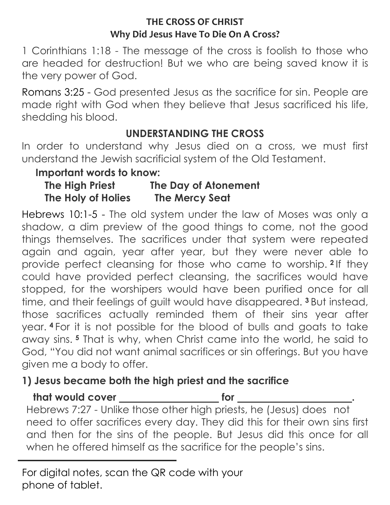#### **THE CROSS OF CHRIST Why Did Jesus Have To Die On A Cross?**

1 Corinthians 1:18 - The message of the cross is foolish to those who are headed for destruction! But we who are being saved know it is the very power of God.

Romans 3:25 - God presented Jesus as the sacrifice for sin. People are made right with God when they believe that Jesus sacrificed his life, shedding his blood.

## **UNDERSTANDING THE CROSS**

In order to understand why Jesus died on a cross, we must first understand the Jewish sacrificial system of the Old Testament.

### **Important words to know:**

| The High Priest    | The Day of Atonement  |
|--------------------|-----------------------|
| The Holy of Holies | <b>The Mercy Seat</b> |

Hebrews 10:1-5 - The old system under the law of Moses was only a shadow, a dim preview of the good things to come, not the good things themselves. The sacrifices under that system were repeated again and again, year after year, but they were never able to provide perfect cleansing for those who came to worship. **<sup>2</sup>** If they could have provided perfect cleansing, the sacrifices would have stopped, for the worshipers would have been purified once for all time, and their feelings of guilt would have disappeared. **<sup>3</sup>** But instead, those sacrifices actually reminded them of their sins year after year. **<sup>4</sup>** For it is not possible for the blood of bulls and goats to take away sins. **<sup>5</sup>** That is why, when Christ came into the world, he said to God, "You did not want animal sacrifices or sin offerings. But you have given me a body to offer.

# **1) Jesus became both the high priest and the sacrifice**

**that would cover that the state of the state of the state of the state of the state of the state of the state of the state of the state of the state of the state of the state of the state of the state of the state of the** 

Hebrews 7:27 - Unlike those other high priests, he (Jesus) does not need to offer sacrifices every day. They did this for their own sins first and then for the sins of the people. But Jesus did this once for all when he offered himself as the sacrifice for the people's sins.

For digital notes, scan the QR code with your phone of tablet.